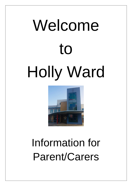# Welcome to Holly Ward



# Information for Parent/Carers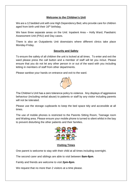# **Welcome to the Children's Unit**

We are a 12 bedded unit with one High Dependency Bed, who provide care for children aged from birth until their 16<sup>th</sup> birthday.

We have three separate areas on the Unit: Inpatient Area – Holly Ward, Paediatric Assessment Unit (PAU) and Day cases.

There is also an Outpatients Unit downstairs where different clinics take place Monday-Friday.

# **Security and Safety**

To ensure the safety of all children the unit is locked at all times. To enter and exit the ward please press the call button and a member of staff will let you in/out. Please ensure that you do not let any other person in or out of the ward with you including letting in members of staff from other departments.

Please sanitise your hands on entrance and exit to the ward.



The Children's Unit has a zero tolerance policy to violence. Any displays of aggressive behaviour (including verbal abuse) to patients or staff by any visitor including parents will not be tolerated.

Please use the storage cupboards to keep the bed space tidy and accessible at all times.

The use of mobile phones is restricted to the Parents Sitting Room, Teenage room and Waiting area. Please ensure your mobile phone is turned to silent whilst in the bay to prevent disturbing the other patients and their families.



# **Visiting Times**

One parent is welcome to stay with their child at all times including overnight.

The second carer and siblings are able to visit between **8am-8pm**.

Family and friends are welcome to visit **2pm-8pm**.

We request that no more than 2 visitors at a time please.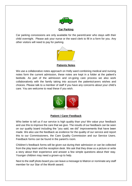

# **Car Parking**

Car parking concessions are only available for the parent/carer who stays with their child overnight. Please ask your nurse or the ward clerk to fill in a form for you. Any other visitors will need to pay for parking.



**Patients Notes**

We use a collaborative notes approach on Holly ward combining medical and nursing notes form the current admission, these notes are kept in a folder at the patient's bedside. As part of the admission and on-going care process we also work collaboratively with the family taking into account the patients/carers wishes and choices. Please talk to a member of staff if you have any concerns about your child's care. You are welcome to read these if you wish.



# **Patient / Carer Feedback**

Who better to tell us if our service is high quality than you! We value your feedback and use this to improve the care that we give. The results of our feedback can be seen on our quality board including the "you said, we did" improvements that have been made. We also use the feedback as evidence for the quality of our service and report this to our Commissioners, the Care Quality Commission and our Service Users. Feedback forms can be found in the parent's room.

Children's feedback forms will be given out during their admission or can be collected from the play team and the reception desk. We ask that they draw us a picture or write a story about their experience and answer a few simple questions about their stay. Younger children may need a grown-up to help.

Next to the staff photo board you can leave a message to Matron or nominate any staff member for our Star of the Month award.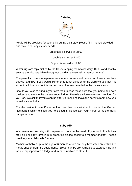#### **Catering**



Meals will be provided for your child during their stay, please fill in menus provided and state clear any dietary needs.

> Breakfast is served at 08:00 Lunch is served at 12:00

Supper is served at 17:00

Water jugs are replenished by the Housekeeping team twice daily. Drinks and healthy snacks are also available throughout the day, please ask a member of staff.

The parent's room is a separate area where parents and carers can have some time out with a drink. If you would like to bring a hot drink on to the ward we ask that it is either in a lidded cup or it is carried on a blue tray provided in the parent's room.

Should you wish to bring in your own food, please make sure that you name and date the item and store in the parents room fridge. There is a microwave oven provided for you use. We ask that you clean up after yourself and leave the parents room how you would wish to find it.

For the resident parent/carer a food voucher is available to use in the Garden Restaurant which entitles you to discount, please ask your nurse or at the Holly reception desk.

# **Baby Milk**

We have a secure baby milk preparation room on the ward. If you would like bottles sterilising or baby formula milk preparing please speak to a member of staff. Please provide your child's milk formula.

Mothers of babies up to the age of 6 months whom are only breast fed are entitled to meals chosen from the adult menu. Breast pumps are available to express milk and we are equipped with a fridge and freezer in which to store it.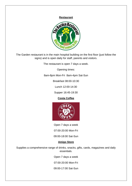#### **Restaurant**



The Garden restaurant is in the main hospital building on the first floor (just follow the signs) and is open daily for staff, parents and visitors.

The restaurant is open 7 days a week.

Opening times:

8am-8pm Mon-Fri 8am-4pm Sat-Sun

Breakfast 08:00-10:30

Lunch 12:00-14:30

Supper 16:45-19:30

# **Costa Coffee**



Open 7 days a week

07:00-20:00 Mon-Fri

09:00-18:00 Sat-Sun

#### **Amigo Store**

Supplies a comprehensive range of drinks, snacks, gifts, cards, magazines and daily essentials.

Open 7 days a week

07:00-20:00 Mon-Fri

09:00-17:00 Sat-Sun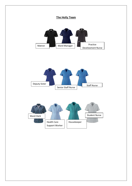





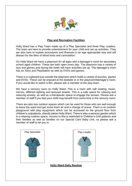

# **Play and Recreation Facilities**

Holly Ward has a Play Team made up of a Play Specialist and three Play Leaders. The team are here to provide entertainment for your child and set up activities. They are also here to explain procedures and illnesses in an age appropriate way and will distract for the likes of blood tests and cannulation.

On Holly Ward we have a playroom for all ages and a teenager's room for secondary school aged children. These are both open every day. The playroom has a variety of toys and games and during the week will have activities set up. The teenager's room has an Xbox and PlayStation as well as DVDs and games.

There is a cupboard just outside the playroom which holds a variety of puzzles, games and DVDs. These can be enjoyed at the bedside or in the playroom/teenager's room. If you would like to watch a film, please ask a member of the play team.

We have a sensory room on Holly Ward. This is a room with soft seating, music, mirrors, different lighting and textured boards. This is a safe space for relaxing and reducing anxiety, as well as a therapeutic space to engage the senses. Please ask a member of staff if you feel your child may benefit from some time in the sensory room.

There are also two outdoor spaces which can be used for those who are well enough to leave the ward and get some fresh air and a change of scene. There is an outdoor playground with play equipment which can be accessed on the ground floor from children's outpatients, directly below Holly Ward. There is also a sensory garden which is a relaxing outdoor space. Access to this is restricted to Children's Unit patients and their families as well as families on our Special Care Baby Unit, so please ask a member of staff to let you in.





**Holly Ward Daily Routine**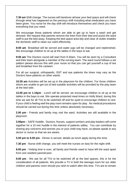**7:30 am** Shift change. The nurses will handover at/near your bed space and will check through what has happened on the previous shift including what medication you have been given. You nurse for the day shift will introduce themselves and check you have everything that you need.

We encourage those patients whom are able to get up to have a wash and get dressed. We request that parents remove the linen from their bed and assist the ward staff to put the bed away. Keeping the bed space area tidy and clear of clutter enables the domestic staff to clean our ward effectively.

**8:00 am** Breakfast will be served and water jugs will be changed and replenished. We encourage children to sit up at the tables in the bays to eat.

**9:00 am** The Doctors round will start from 9.30am. You will be seen by a Consultant and their team alongside a member of the nursing team. The ward round follows a set pattern please discuss this with your nurse so that you can get yourself a cup of tea and breakfast from the canteen.

For all our surgical, orthopaedic, ENT and eye patients the times may vary as the Doctors have patients on other wards.

**10:30 am** Activities will be set up in the playroom for the children. For those children whom are unable to get out of bed suitable activities will be provided by the play team at the bed side.

**12.00 pm to 1.15pm** - Lunch will be served, we encourage children to sit up at the tables in the bays to eat. We operate protected meal times on Holly Ward, during this time we ask for all TVs to be switched off and for quiet to encourage children to rest. If your child is feeling well the play room remains open for play. No medical procedures should be carried out during this time unless absolutely necessary.

**2.00 pm** - Friends and family may visit the ward. Activities are still available in the playroom.

**3.00pm** – SAFE Huddle. Doctors, Nurses, support workers and play leaders will come together for a 10 min huddle in the interest of patients saftey. You can contribute by sharing any concerns and worries you or your child may have, so please speak to any doctor or nurse so that we are aware.

**5.00 pm to 6.00 pm** - Dinner is served, details as lunch apply during this time.

**7.30 pm** - Nurse shift change, you will meet the nurses on duty for the night shift.

**8.00 pm** - Visiting time is over, all family and friends need to have left the ward apart from one resident parent/carer.

**9.00 pm** - We ask for all TVs to be switched off at the bed spaces, this is for the consideration of all patients. We provide a TV in both the teenage room for our older children and parents room should you wish to watch after this time. TVs are to remain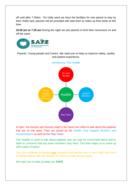off until after 7.00am. On Holly ward we have the facilities for one parent to stay by their childs bed; parents will be provided with bed linen to make up their beds at this time.

**10.00 pm to 7.30 am** During the night we ask parents to limit their movement on and off the ward.



Parents, Young people and Carers. We need you to help us improve safety, quality and patient experience.



Introducing: The Huddle

At 3pm the Doctors and Nurses meet in the hand over office to talk about the patients that are on the ward. They are joined by the Health Care Support Workers and Housekeepers as well as the Play Team.

The Huddle is used to talk about patients who we may be concerned about and to listen to concerns that any team members may have. This then helps us to come up with a plan of action.

You can contibute by sharing **any** concerns and worries you or your child may have so please speak with any doctors or nurses so that we are aware.

We want you to help us keep you **SAFE**